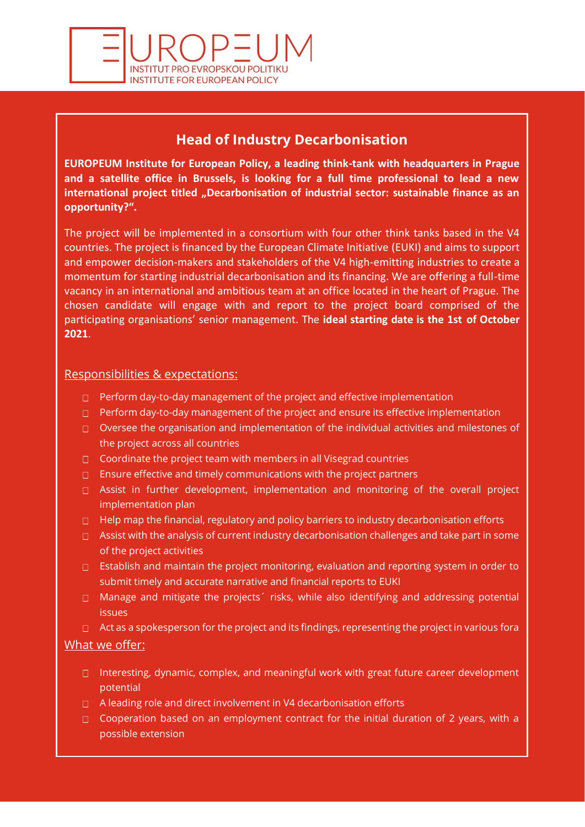

# **Head of Industry Decarbonisation**

**EUROPEUM Institute for European Policy, a leading think-tank with headquarters in Prague and a satellite office in Brussels, is looking for a full time professional to lead a new international project titled "Decarbonisation of industrial sector: sustainable finance as an opportunity?".**

The project will be implemented in a consortium with four other think tanks based in the V4 countries. The project is financed by the European Climate Initiative (EUKI) and aims to support and empower decision-makers and stakeholders of the V4 high-emitting industries to create a momentum for starting industrial decarbonisation and its financing. We are offering a full-time vacancy in an international and ambitious team at an office located in the heart of Prague. The chosen candidate will engage with and report to the project board comprised of the participating organisations' senior management. The **ideal starting date is the 1st of October 2021**.

### Responsibilities & expectations:

- $\Box$  Perform day-to-day management of the project and effective implementation
- $\Box$  Perform day-to-day management of the project and ensure its effective implementation
- $\Box$  Oversee the organisation and implementation of the individual activities and milestones of the project across all countries
- $\Box$  Coordinate the project team with members in all Visegrad countries
- $\Box$  Ensure effective and timely communications with the project partners
- $\Box$  Assist in further development, implementation and monitoring of the overall project implementation plan
- $\Box$  Help map the financial, regulatory and policy barriers to industry decarbonisation efforts
- $\Box$  Assist with the analysis of current industry decarbonisation challenges and take part in some of the project activities
- □ Establish and maintain the project monitoring, evaluation and reporting system in order to submit timely and accurate narrative and financial reports to EUKI
- $\Box$  Manage and mitigate the projects' risks, while also identifying and addressing potential issues
- $\Box$  Act as a spokesperson for the project and its findings, representing the project in various fora

## What we offer:

- □ Interesting, dynamic, complex, and meaningful work with great future career development potential
- $\Box$  A leading role and direct involvement in V4 decarbonisation efforts
- $\Box$  Cooperation based on an employment contract for the initial duration of 2 years, with a possible extension